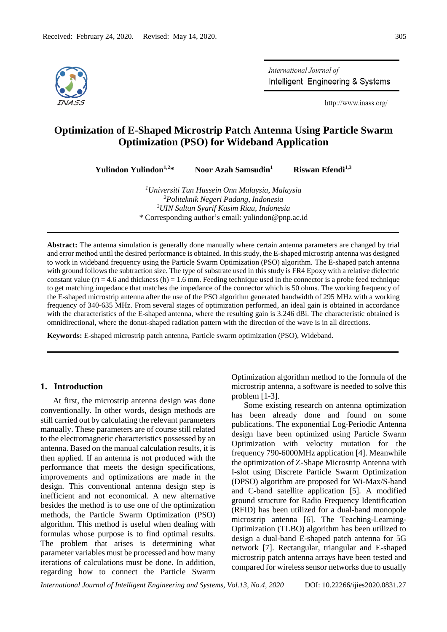

International Journal of Intelligent Engineering & Systems

http://www.inass.org/

# **Optimization of E-Shaped Microstrip Patch Antenna Using Particle Swarm Optimization (PSO) for Wideband Application**

**Yulindon Yulindon1,2\* Noor Azah Samsudin<sup>1</sup>**

 **Riswan Efendi1,3**

*Universiti Tun Hussein Onn Malaysia, Malaysia Politeknik Negeri Padang, Indonesia UIN Sultan Syarif Kasim Riau, Indonesia* \* Corresponding author's email: yulindon@pnp.ac.id

**Abstract:** The antenna simulation is generally done manually where certain antenna parameters are changed by trial and error method until the desired performance is obtained. In this study, the E-shaped microstrip antenna was designed to work in wideband frequency using the Particle Swarm Optimization (PSO) algorithm. The E-shaped patch antenna with ground follows the subtraction size. The type of substrate used in this study is FR4 Epoxy with a relative dielectric constant value  $(r) = 4.6$  and thickness  $(h) = 1.6$  mm. Feeding technique used in the connector is a probe feed technique to get matching impedance that matches the impedance of the connector which is 50 ohms. The working frequency of the E-shaped microstrip antenna after the use of the PSO algorithm generated bandwidth of 295 MHz with a working frequency of 340-635 MHz. From several stages of optimization performed, an ideal gain is obtained in accordance with the characteristics of the E-shaped antenna, where the resulting gain is 3.246 dBi. The characteristic obtained is omnidirectional, where the donut-shaped radiation pattern with the direction of the wave is in all directions.

**Keywords:** E-shaped microstrip patch antenna, Particle swarm optimization (PSO), Wideband.

### **1. Introduction**

At first, the microstrip antenna design was done conventionally. In other words, design methods are still carried out by calculating the relevant parameters manually. These parameters are of course still related to the electromagnetic characteristics possessed by an antenna. Based on the manual calculation results, it is then applied. If an antenna is not produced with the performance that meets the design specifications, improvements and optimizations are made in the design. This conventional antenna design step is inefficient and not economical. A new alternative besides the method is to use one of the optimization methods, the Particle Swarm Optimization (PSO) algorithm. This method is useful when dealing with formulas whose purpose is to find optimal results. The problem that arises is determining what parameter variables must be processed and how many iterations of calculations must be done. In addition, regarding how to connect the Particle Swarm

Optimization algorithm method to the formula of the microstrip antenna, a software is needed to solve this problem [1-3].

Some existing research on antenna optimization has been already done and found on some publications. The exponential Log-Periodic Antenna design have been optimized using Particle Swarm Optimization with velocity mutation for the frequency 790-6000MHz application [4]. Meanwhile the optimization of Z-Shape Microstrip Antenna with I-slot using Discrete Particle Swarm Optimization (DPSO) algorithm are proposed for Wi-Max/S-band and C-band satellite application [5]. A modified ground structure for Radio Frequency Identification (RFID) has been utilized for a dual-band monopole microstrip antenna [6]. The Teaching-Learning-Optimization (TLBO) algorithm has been utilized to design a dual-band E-shaped patch antenna for 5G network [7]. Rectangular, triangular and E-shaped microstrip patch antenna arrays have been tested and compared for wireless sensor networks due to usually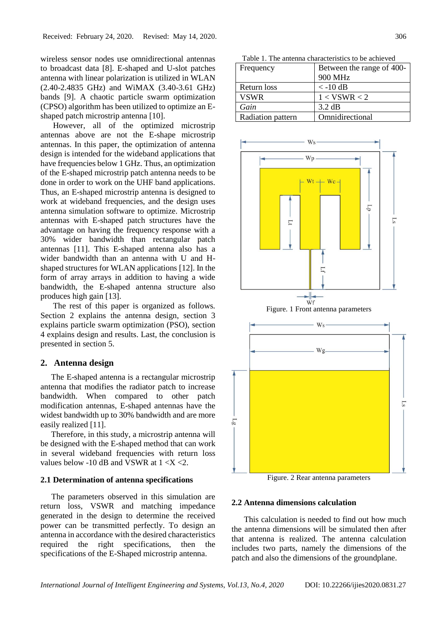wireless sensor nodes use omnidirectional antennas to broadcast data [8]. E-shaped and U-slot patches antenna with linear polarization is utilized in WLAN (2.40-2.4835 GHz) and WiMAX (3.40-3.61 GHz) bands [9]. A chaotic particle swarm optimization (CPSO) algorithm has been utilized to optimize an Eshaped patch microstrip antenna [10].

However, all of the optimized microstrip antennas above are not the E-shape microstrip antennas. In this paper, the optimization of antenna design is intended for the wideband applications that have frequencies below 1 GHz. Thus, an optimization of the E-shaped microstrip patch antenna needs to be done in order to work on the UHF band applications. Thus, an E-shaped microstrip antenna is designed to work at wideband frequencies, and the design uses antenna simulation software to optimize. Microstrip antennas with E-shaped patch structures have the advantage on having the frequency response with a 30% wider bandwidth than rectangular patch antennas [11]. This E-shaped antenna also has a wider bandwidth than an antenna with U and Hshaped structures for WLAN applications [12]. In the form of array arrays in addition to having a wide bandwidth, the E-shaped antenna structure also produces high gain [13].

The rest of this paper is organized as follows. Section 2 explains the antenna design, section 3 explains particle swarm optimization (PSO), section 4 explains design and results. Last, the conclusion is presented in section 5.

### **2. Antenna design**

The E-shaped antenna is a rectangular microstrip antenna that modifies the radiator patch to increase bandwidth. When compared to other patch modification antennas, E-shaped antennas have the widest bandwidth up to 30% bandwidth and are more easily realized [11].

Therefore, in this study, a microstrip antenna will be designed with the E-shaped method that can work in several wideband frequencies with return loss values below -10 dB and VSWR at  $1 < X < 2$ .

### **2.1 Determination of antenna specifications**

The parameters observed in this simulation are return loss, VSWR and matching impedance generated in the design to determine the received power can be transmitted perfectly. To design an antenna in accordance with the desired characteristics required the right specifications, then the specifications of the E-Shaped microstrip antenna.

Table 1. The antenna characteristics to be achieved Frequency Retween the range of 400-

|                   | .                |
|-------------------|------------------|
|                   | 900 MHz          |
| Return loss       | $<-10$ dB        |
| <b>VSWR</b>       | 1 < VSWR < 2     |
| Gain              | $3.2 \text{ dB}$ |
| Radiation pattern | Omnidirectional  |



Figure. 2 Rear antenna parameters

#### **2.2 Antenna dimensions calculation**

This calculation is needed to find out how much the antenna dimensions will be simulated then after that antenna is realized. The antenna calculation includes two parts, namely the dimensions of the patch and also the dimensions of the groundplane.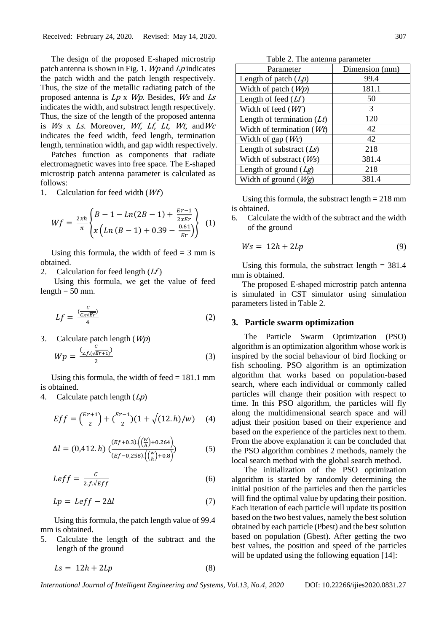The design of the proposed E-shaped microstrip patch antenna is shown in Fig. 1.  $Wp$  and  $Lp$  indicates the patch width and the patch length respectively. Thus, the size of the metallic radiating patch of the proposed antenna is  $Lp \times Wp$ . Besides, Ws and  $Ls$ indicates the width, and substract length respectively. Thus, the size of the length of the proposed antenna is  $Ws \times Ls$ . Moreover, *Wf, Lf, Lt, Wt, and Wc* indicates the feed width, feed length, termination length, termination width, and gap width respectively.

Patches function as components that radiate electromagnetic waves into free space. The E-shaped microstrip patch antenna parameter is calculated as follows:

1. Calculation for feed width  $(Wf)$ 

$$
Wf = \frac{2xh}{\pi} \left\{ \frac{B - 1 - Ln(2B - 1) + \frac{Er - 1}{2xF}}{x\left(Ln(B - 1) + 0.39 - \frac{0.61}{Er}\right)} \right\}
$$
(1)

Using this formula, the width of feed  $=$  3 mm is obtained.

2. Calculation for feed length  $(Lf)$ 

Using this formula, we get the value of feed length  $= 50$  mm.

$$
Lf = \frac{\binom{C}{Cx\sqrt{Er}}}{4} \tag{2}
$$

3. Calculate patch length  $(Wp)$ 

$$
Wp = \frac{\frac{C}{(2f\cdot(\sqrt{Er+1})})}{2} \tag{3}
$$

Using this formula, the width of feed  $= 181.1$  mm is obtained.

4. Calculate patch length  $(Lp)$ 

$$
Eff = \left(\frac{Er+1}{2}\right) + \left(\frac{Er-1}{2}\right)\left(1 + \sqrt{(12.h)}/w\right) \quad (4)
$$

$$
\Delta l = (0,412. h) \left( \frac{(Ef + 0.3) \left( \left( \frac{w}{h} \right) + 0.264 \right)}{(Ef - 0.258) \left( \left( \frac{w}{h} \right) + 0.8 \right)} \right) \tag{5}
$$

$$
Left = \frac{c}{2.f.\sqrt{Eff}}\tag{6}
$$

$$
Lp = Leff - 2\Delta l \tag{7}
$$

Using this formula, the patch length value of 99.4 mm is obtained.

5. Calculate the length of the subtract and the length of the ground

$$
Ls = 12h + 2Lp \tag{8}
$$

Table 2. The antenna parameter

| Parameter                    | Dimension (mm) |
|------------------------------|----------------|
| Length of patch $(Lp)$       | 99.4           |
| Width of patch $(Wp)$        | 181.1          |
| Length of feed $(Lf)$        | 50             |
| Width of feed $(Wf)$         | 3              |
| Length of termination $(Lt)$ | 120            |
| Width of termination $(Wt)$  | 42             |
| Width of gap $(Wc)$          | 42             |
| Length of substract $(Ls)$   | 218            |
| Width of substract $(Ws)$    | 381.4          |
| Length of ground $(Lg)$      | 218            |
| Width of ground $(Wg)$       | 381.4          |

Using this formula, the substract length  $= 218$  mm is obtained.

6. Calculate the width of the subtract and the width of the ground

$$
Ws = 12h + 2Lp \tag{9}
$$

Using this formula, the substract length  $= 381.4$ mm is obtained.

The proposed E-shaped microstrip patch antenna is simulated in CST simulator using simulation parameters listed in Table 2.

#### **3. Particle swarm optimization**

The Particle Swarm Optimization (PSO) algorithm is an optimization algorithm whose work is inspired by the social behaviour of bird flocking or fish schooling. PSO algorithm is an optimization algorithm that works based on population-based search, where each individual or commonly called particles will change their position with respect to time. In this PSO algorithm, the particles will fly along the multidimensional search space and will adjust their position based on their experience and based on the experience of the particles next to them. From the above explanation it can be concluded that the PSO algorithm combines 2 methods, namely the local search method with the global search method.

The initialization of the PSO optimization algorithm is started by randomly determining the initial position of the particles and then the particles will find the optimal value by updating their position. Each iteration of each particle will update its position based on the two best values, namely the best solution obtained by each particle (Pbest) and the best solution based on population (Gbest). After getting the two best values, the position and speed of the particles will be updated using the following equation [14]: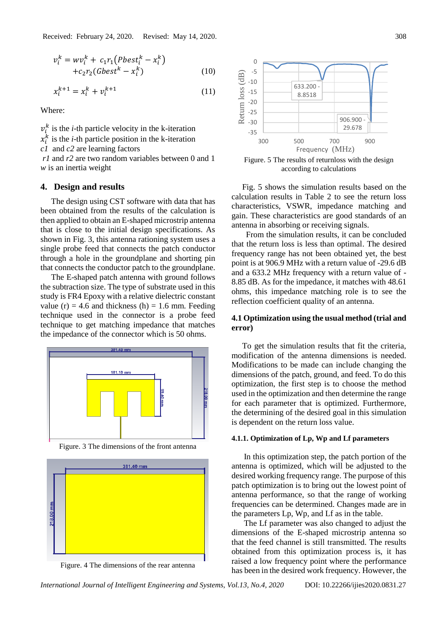$$
v_i^k = w v_i^k + c_1 r_1 (Pbest_i^k - x_i^k)
$$
  
+
$$
c_2 r_2 (Gbest^k - x_i^k)
$$
 (10)

$$
x_i^{k+1} = x_i^k + v_i^{k+1}
$$
 (11)

Where:

 $v_i^k$  is the *i*-th particle velocity in the k-iteration

 $x_i^k$  is the *i*-th particle position in the k-iteration

*c1* and *c2* are learning factors

*r1* and *r2* are two random variables between 0 and 1 *w* is an inertia weight

### **4. Design and results**

The design using CST software with data that has been obtained from the results of the calculation is then applied to obtain an E-shaped microstrip antenna that is close to the initial design specifications. As shown in Fig. 3, this antenna rationing system uses a single probe feed that connects the patch conductor through a hole in the groundplane and shorting pin that connects the conductor patch to the groundplane.

The E-shaped patch antenna with ground follows the subtraction size. The type of substrate used in this study is FR4 Epoxy with a relative dielectric constant value (r) = 4.6 and thickness (h) = 1.6 mm. Feeding technique used in the connector is a probe feed technique to get matching impedance that matches the impedance of the connector which is 50 ohms.



Figure. 3 The dimensions of the front antenna



Figure. 4 The dimensions of the rear antenna



Figure. 5 The results of returnloss with the design according to calculations

Fig. 5 shows the simulation results based on the calculation results in Table 2 to see the return loss characteristics, VSWR, impedance matching and gain. These characteristics are good standards of an antenna in absorbing or receiving signals.

From the simulation results, it can be concluded that the return loss is less than optimal. The desired frequency range has not been obtained yet, the best point is at 906.9 MHz with a return value of -29.6 dB and a 633.2 MHz frequency with a return value of - 8.85 dB. As for the impedance, it matches with 48.61 ohms, this impedance matching role is to see the reflection coefficient quality of an antenna.

## **4.1 Optimization using the usual method (trial and error)**

To get the simulation results that fit the criteria, modification of the antenna dimensions is needed. Modifications to be made can include changing the dimensions of the patch, ground, and feed. To do this optimization, the first step is to choose the method used in the optimization and then determine the range for each parameter that is optimized. Furthermore, the determining of the desired goal in this simulation is dependent on the return loss value.

#### **4.1.1. Optimization of Lp, Wp and Lf parameters**

In this optimization step, the patch portion of the antenna is optimized, which will be adjusted to the desired working frequency range. The purpose of this patch optimization is to bring out the lowest point of antenna performance, so that the range of working frequencies can be determined. Changes made are in the parameters Lp, Wp, and Lf as in the table.

The Lf parameter was also changed to adjust the dimensions of the E-shaped microstrip antenna so that the feed channel is still transmitted. The results obtained from this optimization process is, it has raised a low frequency point where the performance has been in the desired work frequency. However, the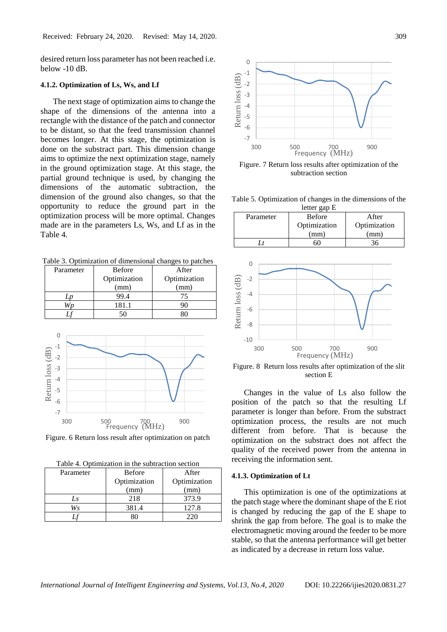desired return loss parameter has not been reached i.e. below -10 dB.

### **4.1.2. Optimization of Ls, Ws, and Lf**

The next stage of optimization aims to change the shape of the dimensions of the antenna into a rectangle with the distance of the patch and connector to be distant, so that the feed transmission channel becomes longer. At this stage, the optimization is done on the substract part. This dimension change aims to optimize the next optimization stage, namely in the ground optimization stage. At this stage, the partial ground technique is used, by changing the dimensions of the automatic subtraction, the dimension of the ground also changes, so that the opportunity to reduce the ground part in the optimization process will be more optimal. Changes made are in the parameters Ls, Ws, and Lf as in the Table 4.

Table 3. Optimization of dimensional changes to patches

| Parameter | <b>Before</b> | After        |
|-----------|---------------|--------------|
|           | Optimization  | Optimization |
|           | (mm)          | (mm)         |
|           | 99.4          | 75           |
|           | 181.1         | 90           |
|           | 50            | 80           |
|           |               |              |
|           |               |              |



Figure. 6 Return loss result after optimization on patch

Table 4. Optimization in the subtraction section

|           | raone ", optimization in the sactiaction section |              |
|-----------|--------------------------------------------------|--------------|
| Parameter | <b>Before</b>                                    | After        |
|           | Optimization                                     | Optimization |
|           | (mm)                                             | (mm)         |
| Ls        | 218                                              | 373.9        |
| Ws        | 381.4                                            | 127.8        |
|           |                                                  |              |



Figure. 7 Return loss results after optimization of the subtraction section

Table 5. Optimization of changes in the dimensions of the letter gap E

| Parameter | <b>Before</b> | After        |
|-----------|---------------|--------------|
|           | Optimization  | Optimization |
|           | (mm)          | mm)          |
|           |               |              |



Figure. 8 Return loss results after optimization of the slit section E

Changes in the value of Ls also follow the position of the patch so that the resulting Lf parameter is longer than before. From the substract optimization process, the results are not much different from before. That is because the optimization on the substract does not affect the quality of the received power from the antenna in receiving the information sent.

#### **4.1.3. Optimization of Lt**

This optimization is one of the optimizations at the patch stage where the dominant shape of the E riot is changed by reducing the gap of the E shape to shrink the gap from before. The goal is to make the electromagnetic moving around the feeder to be more stable, so that the antenna performance will get better as indicated by a decrease in return loss value.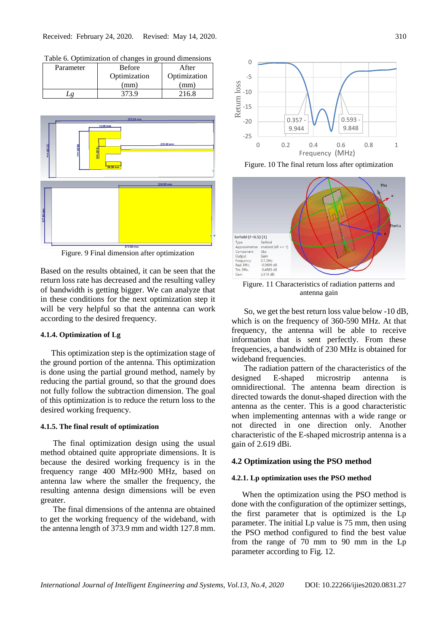|           | Tuble 0. Optimization of changes in ground unnemstons |              |
|-----------|-------------------------------------------------------|--------------|
| Parameter | <b>Before</b>                                         | After        |
|           | Optimization                                          | Optimization |
|           | (mm)                                                  | (mm)         |
|           | 373.9                                                 | 216.8        |

Table 6. Optimization of changes in ground dimensions



Figure. 9 Final dimension after optimization

Based on the results obtained, it can be seen that the return loss rate has decreased and the resulting valley of bandwidth is getting bigger. We can analyze that in these conditions for the next optimization step it will be very helpful so that the antenna can work according to the desired frequency.

### **4.1.4. Optimization of Lg**

This optimization step is the optimization stage of the ground portion of the antenna. This optimization is done using the partial ground method, namely by reducing the partial ground, so that the ground does not fully follow the subtraction dimension. The goal of this optimization is to reduce the return loss to the desired working frequency.

#### **4.1.5. The final result of optimization**

The final optimization design using the usual method obtained quite appropriate dimensions. It is because the desired working frequency is in the frequency range 400 MHz-900 MHz, based on antenna law where the smaller the frequency, the resulting antenna design dimensions will be even greater.

The final dimensions of the antenna are obtained to get the working frequency of the wideband, with the antenna length of 373.9 mm and width 127.8 mm.



Figure. 10 The final return loss after optimization



Figure. 11 Characteristics of radiation patterns and antenna gain

So, we get the best return loss value below -10 dB, which is on the frequency of 360-590 MHz. At that frequency, the antenna will be able to receive information that is sent perfectly. From these frequencies, a bandwidth of 230 MHz is obtained for wideband frequencies.

The radiation pattern of the characteristics of the designed E-shaped microstrip antenna is omnidirectional. The antenna beam direction is directed towards the donut-shaped direction with the antenna as the center. This is a good characteristic when implementing antennas with a wide range or not directed in one direction only. Another characteristic of the E-shaped microstrip antenna is a gain of 2.619 dBi.

### **4.2 Optimization using the PSO method**

#### **4.2.1. Lp optimization uses the PSO method**

When the optimization using the PSO method is done with the configuration of the optimizer settings, the first parameter that is optimized is the Lp parameter. The initial Lp value is 75 mm, then using the PSO method configured to find the best value from the range of 70 mm to 90 mm in the Lp parameter according to Fig. 12.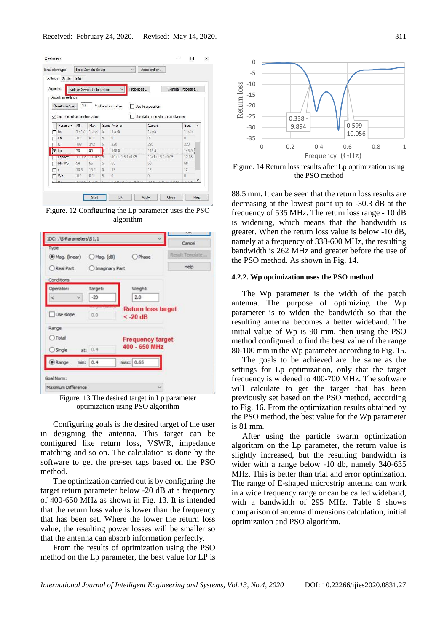| Settings<br>Goals<br>Info<br>Properties<br>Particle Swarm Optimization<br>General Properties<br>Algorithm settings<br>10<br>% of anchor value<br>Reset min/max<br>Use interpolation<br>Use current as anchor value<br>Use data of previous calculations<br>Samp Anchor<br>Current<br>Parame /<br>Max<br><b>Rest</b><br>Min<br>۸<br>14175 17325<br>5<br>1.575<br>1.575<br>1.575<br>hs<br>$-0.1$<br>0.1<br>5<br>$\theta$<br>n<br>$\theta$<br>La<br>5<br>220<br>Lf<br>220<br>220<br>198<br>242<br>148.5<br>90<br>70<br>148.5<br><b>x</b> Lo<br>148.5<br>--------------<br>12.65<br>$16 + 1 + 1 - 5 - 1 + 0.65$<br>$16+1+1-5-1+0.65$<br>Lspace<br>3.515<br>1.385<br>ъ<br>66<br>60<br>MinWp<br>54<br>5<br>60<br>60 |
|---------------------------------------------------------------------------------------------------------------------------------------------------------------------------------------------------------------------------------------------------------------------------------------------------------------------------------------------------------------------------------------------------------------------------------------------------------------------------------------------------------------------------------------------------------------------------------------------------------------------------------------------------------------------------------------------------------------|
| Algorithm:                                                                                                                                                                                                                                                                                                                                                                                                                                                                                                                                                                                                                                                                                                    |
|                                                                                                                                                                                                                                                                                                                                                                                                                                                                                                                                                                                                                                                                                                               |
|                                                                                                                                                                                                                                                                                                                                                                                                                                                                                                                                                                                                                                                                                                               |
|                                                                                                                                                                                                                                                                                                                                                                                                                                                                                                                                                                                                                                                                                                               |
|                                                                                                                                                                                                                                                                                                                                                                                                                                                                                                                                                                                                                                                                                                               |
|                                                                                                                                                                                                                                                                                                                                                                                                                                                                                                                                                                                                                                                                                                               |
|                                                                                                                                                                                                                                                                                                                                                                                                                                                                                                                                                                                                                                                                                                               |
|                                                                                                                                                                                                                                                                                                                                                                                                                                                                                                                                                                                                                                                                                                               |
|                                                                                                                                                                                                                                                                                                                                                                                                                                                                                                                                                                                                                                                                                                               |
|                                                                                                                                                                                                                                                                                                                                                                                                                                                                                                                                                                                                                                                                                                               |
|                                                                                                                                                                                                                                                                                                                                                                                                                                                                                                                                                                                                                                                                                                               |
|                                                                                                                                                                                                                                                                                                                                                                                                                                                                                                                                                                                                                                                                                                               |
|                                                                                                                                                                                                                                                                                                                                                                                                                                                                                                                                                                                                                                                                                                               |
|                                                                                                                                                                                                                                                                                                                                                                                                                                                                                                                                                                                                                                                                                                               |
|                                                                                                                                                                                                                                                                                                                                                                                                                                                                                                                                                                                                                                                                                                               |
| 10.8<br>13.2<br>5<br>12<br>12<br>12                                                                                                                                                                                                                                                                                                                                                                                                                                                                                                                                                                                                                                                                           |
| 5<br>$\Omega$<br>n<br>$\theta$<br>$-0.1$<br>0.1<br>Wa                                                                                                                                                                                                                                                                                                                                                                                                                                                                                                                                                                                                                                                         |
| v                                                                                                                                                                                                                                                                                                                                                                                                                                                                                                                                                                                                                                                                                                             |
|                                                                                                                                                                                                                                                                                                                                                                                                                                                                                                                                                                                                                                                                                                               |

Figure. 12 Configuring the Lp parameter uses the PSO algorithm



Figure. 13 The desired target in Lp parameter optimization using PSO algorithm

Configuring goals is the desired target of the user in designing the antenna. This target can be configured like return loss, VSWR, impedance matching and so on. The calculation is done by the software to get the pre-set tags based on the PSO method.

The optimization carried out is by configuring the target return parameter below -20 dB at a frequency of 400-650 MHz as shown in Fig. 13. It is intended that the return loss value is lower than the frequency that has been set. Where the lower the return loss value, the resulting power losses will be smaller so that the antenna can absorb information perfectly.

From the results of optimization using the PSO method on the Lp parameter, the best value for LP is



Figure. 14 Return loss results after Lp optimization using the PSO method

88.5 mm. It can be seen that the return loss results are decreasing at the lowest point up to -30.3 dB at the frequency of 535 MHz. The return loss range - 10 dB is widening, which means that the bandwidth is greater. When the return loss value is below -10 dB, namely at a frequency of 338-600 MHz, the resulting bandwidth is 262 MHz and greater before the use of the PSO method. As shown in Fig. 14.

#### **4.2.2. Wp optimization uses the PSO method**

The Wp parameter is the width of the patch antenna. The purpose of optimizing the Wp parameter is to widen the bandwidth so that the resulting antenna becomes a better wideband. The initial value of Wp is 90 mm, then using the PSO method configured to find the best value of the range 80-100 mm in the Wp parameter according to Fig. 15.

The goals to be achieved are the same as the settings for Lp optimization, only that the target frequency is widened to 400-700 MHz. The software will calculate to get the target that has been previously set based on the PSO method, according to Fig. 16. From the optimization results obtained by the PSO method, the best value for the Wp parameter is 81 mm.

After using the particle swarm optimization algorithm on the Lp parameter, the return value is slightly increased, but the resulting bandwidth is wider with a range below -10 db, namely 340-635 MHz. This is better than trial and error optimization. The range of E-shaped microstrip antenna can work in a wide frequency range or can be called wideband, with a bandwidth of 295 MHz. Table 6 shows comparison of antenna dimensions calculation, initial optimization and PSO algorithm.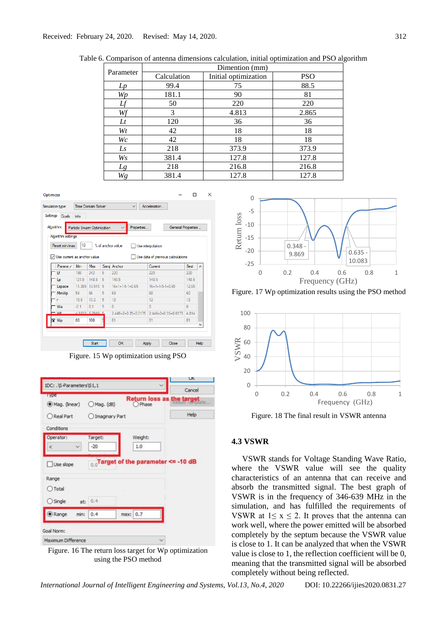| Parameter |             | Dimention (mm)       |            |
|-----------|-------------|----------------------|------------|
|           | Calculation | Initial optimization | <b>PSO</b> |
| Lp        | 99.4        | 75                   | 88.5       |
| Wp        | 181.1       | 90                   | 81         |
|           | 50          | 220                  | 220        |
| Wf        | 3           | 4.813                | 2.865      |
| $_{Lt}$   | 120         | 36                   | 36         |
| Wt        | 42          | 18                   | 18         |
| Wc        | 42          | 18                   | 18         |
| Ls        | 218         | 373.9                | 373.9      |
| Ws        | 381.4       | 127.8                | 127.8      |
| Lg        | 218         | 216.8                | 216.8      |
| Wg        | 381.4       | 127.8                | 127.8      |

Table 6. Comparison of antenna dimensions calculation, initial optimization and PSO algorithm

| Settings | Simulation type:<br>Goals             | Info                        | <b>Time Domain Solver</b> |   | $\checkmark$                | Acceleration                      |          |                     |
|----------|---------------------------------------|-----------------------------|---------------------------|---|-----------------------------|-----------------------------------|----------|---------------------|
|          | Algorithm:                            | Particle Swarm Optimization |                           |   | Properties                  | General Properties                |          |                     |
|          | Algorithm settings                    |                             |                           |   |                             |                                   |          |                     |
|          | Reset min/max                         | 10                          |                           |   | % of anchor value           | Use interpolation                 |          |                     |
|          |                                       |                             |                           |   |                             |                                   |          |                     |
|          | $\sqrt{}$ Use current as anchor value |                             |                           |   |                             | Use data of previous calculations |          |                     |
|          | Parame /                              | Min                         | Max                       |   | Samp Anchor                 | Current                           | Best     | $\hat{\phantom{a}}$ |
|          | Ιf                                    | 198                         | 242                       | 5 | 220                         | 220                               | 220      |                     |
|          |                                       |                             | 148.5                     | 5 | 148.5                       | 148.5                             | 148.5    |                     |
|          | ما                                    | 121.5                       |                           |   |                             |                                   |          |                     |
|          | Lspace                                | 11.385                      | 13.915                    | 5 | $16 + 1 + 1 - 5 - 1 + 0.65$ | $16 + 1 + 1 - 5 - 1 + 0.65$       | 12.65    |                     |
|          | <b>MinWp</b>                          | 54                          | 66                        | 5 | 60                          | 60                                | 60       |                     |
|          | r                                     | 10.8                        | 13.2                      | 5 | 12                          | 12                                | 12       |                     |
|          | Wa                                    | $-01$                       | 0 <sub>1</sub>            | 5 | $\mathbf{0}$                | $\sqrt{ }$                        | $\bf{0}$ |                     |
|          | M                                     |                             | 1 2222 5 2919 5           |   | $2.446 + 2 + 0.35 + 0.0175$ | $2.446 + 2 + 0.35 + 0.0175$       | 4814     |                     |
|          | <b>x</b> Wp                           | 80                          | 100                       |   | 81                          | 81                                | 81       |                     |

Figure. 15 Wp optimization using PSO



Figure. 16 The return loss target for Wp optimization using the PSO method



Figure. 17 Wp optimization results using the PSO method



Figure. 18 The final result in VSWR antenna

### **4.3 VSWR**

VSWR stands for Voltage Standing Wave Ratio, where the VSWR value will see the quality characteristics of an antenna that can receive and absorb the transmitted signal. The best graph of VSWR is in the frequency of 346-639 MHz in the simulation, and has fulfilled the requirements of VSWR at  $1 \le x \le 2$ . It proves that the antenna can work well, where the power emitted will be absorbed completely by the septum because the VSWR value is close to 1. It can be analyzed that when the VSWR value is close to 1, the reflection coefficient will be 0, meaning that the transmitted signal will be absorbed completely without being reflected.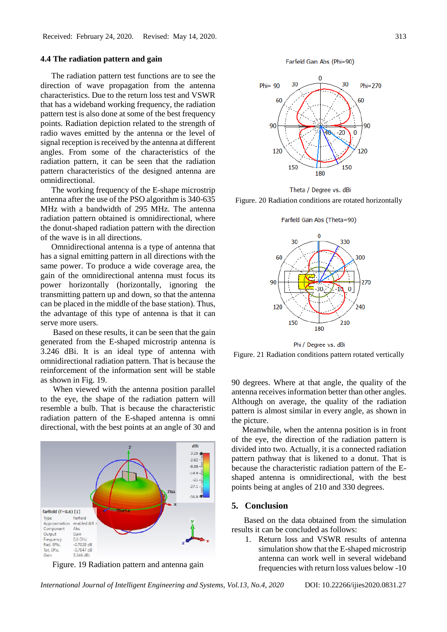### **4.4 The radiation pattern and gain**

The radiation pattern test functions are to see the direction of wave propagation from the antenna characteristics. Due to the return loss test and VSWR that has a wideband working frequency, the radiation pattern test is also done at some of the best frequency points. Radiation depiction related to the strength of radio waves emitted by the antenna or the level of signal reception is received by the antenna at different angles. From some of the characteristics of the radiation pattern, it can be seen that the radiation pattern characteristics of the designed antenna are omnidirectional.

The working frequency of the E-shape microstrip antenna after the use of the PSO algorithm is 340-635 MHz with a bandwidth of 295 MHz. The antenna radiation pattern obtained is omnidirectional, where the donut-shaped radiation pattern with the direction of the wave is in all directions.

Omnidirectional antenna is a type of antenna that has a signal emitting pattern in all directions with the same power. To produce a wide coverage area, the gain of the omnidirectional antenna must focus its power horizontally (horizontally, ignoring the transmitting pattern up and down, so that the antenna can be placed in the middle of the base station). Thus, the advantage of this type of antenna is that it can serve more users.

Based on these results, it can be seen that the gain generated from the E-shaped microstrip antenna is 3.246 dBi. It is an ideal type of antenna with omnidirectional radiation pattern. That is because the reinforcement of the information sent will be stable as shown in Fig. 19.

When viewed with the antenna position parallel to the eye, the shape of the radiation pattern will resemble a bulb. That is because the characteristic radiation pattern of the E-shaped antenna is omni directional, with the best points at an angle of 30 and



Figure. 19 Radiation pattern and antenna gain

Farfield Gain Abs (Phi=90)



Theta / Degree vs. dBi

Figure. 20 Radiation conditions are rotated horizontally

Farfield Gain Abs (Theta=90)



Phi / Degree vs. dBi

Figure. 21 Radiation conditions pattern rotated vertically

90 degrees. Where at that angle, the quality of the antenna receives information better than other angles. Although on average, the quality of the radiation pattern is almost similar in every angle, as shown in the picture.

Meanwhile, when the antenna position is in front of the eye, the direction of the radiation pattern is divided into two. Actually, it is a connected radiation pattern pathway that is likened to a donut. That is because the characteristic radiation pattern of the Eshaped antenna is omnidirectional, with the best points being at angles of 210 and 330 degrees.

### **5. Conclusion**

Based on the data obtained from the simulation results it can be concluded as follows:

1. Return loss and VSWR results of antenna simulation show that the E-shaped microstrip antenna can work well in several wideband frequencies with return loss values below -10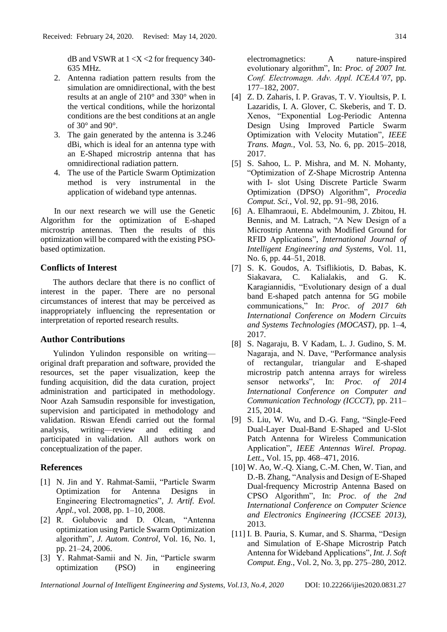dB and VSWR at  $1 < X < 2$  for frequency 340-635 MHz.

- 2. Antenna radiation pattern results from the simulation are omnidirectional, with the best results at an angle of 210° and 330° when in the vertical conditions, while the horizontal conditions are the best conditions at an angle of  $30^{\circ}$  and  $90^{\circ}$ .
- 3. The gain generated by the antenna is 3.246 dBi, which is ideal for an antenna type with an E-Shaped microstrip antenna that has omnidirectional radiation pattern.
- 4. The use of the Particle Swarm Optimization method is very instrumental in the application of wideband type antennas.

In our next research we will use the Genetic Algorithm for the optimization of E-shaped microstrip antennas. Then the results of this optimization will be compared with the existing PSObased optimization.

# **Conflicts of Interest**

The authors declare that there is no conflict of interest in the paper. There are no personal circumstances of interest that may be perceived as inappropriately influencing the representation or interpretation of reported research results.

### **Author Contributions**

Yulindon Yulindon responsible on writing original draft preparation and software, provided the resources, set the paper visualization, keep the funding acquisition, did the data curation, project administration and participated in methodology. Noor Azah Samsudin responsible for investigation, supervision and participated in methodology and validation. Riswan Efendi carried out the formal analysis, writing—review and editing and participated in validation. All authors work on conceptualization of the paper.

### **References**

- [1] N. Jin and Y. Rahmat-Samii, "Particle Swarm Optimization for Antenna Designs in Engineering Electromagnetics", *J. Artif. Evol. Appl.*, vol. 2008, pp. 1–10, 2008.
- [2] R. Golubovic and D. Olcan, "Antenna optimization using Particle Swarm Optimization algorithm", *J. Autom. Control*, Vol. 16, No. 1, pp. 21–24, 2006.
- [3] Y. Rahmat-Samii and N. Jin, "Particle swarm optimization (PSO) in engineering

electromagnetics: A nature-inspired evolutionary algorithm", In: *Proc. of 2007 Int. Conf. Electromagn. Adv. Appl. ICEAA'07*, pp. 177–182, 2007.

- [4] Z. D. Zaharis, I. P. Gravas, T. V. Yioultsis, P. I. Lazaridis, I. A. Glover, C. Skeberis, and T. D. Xenos, "Exponential Log-Periodic Antenna Design Using Improved Particle Swarm Optimization with Velocity Mutation", *IEEE Trans. Magn.*, Vol. 53, No. 6, pp. 2015–2018, 2017.
- [5] S. Sahoo, L. P. Mishra, and M. N. Mohanty, "Optimization of Z-Shape Microstrip Antenna with I- slot Using Discrete Particle Swarm Optimization (DPSO) Algorithm", *Procedia Comput. Sci.*, Vol. 92, pp. 91–98, 2016.
- [6] A. Elhamraoui, E. Abdelmounim, J. Zbitou, H. Bennis, and M. Latrach, "A New Design of a Microstrip Antenna with Modified Ground for RFID Applications", *International Journal of Intelligent Engineering and Systems*, Vol. 11, No. 6, pp. 44–51, 2018.
- [7] S. K. Goudos, A. Tsiflikiotis, D. Babas, K. Siakavara, C. Kalialakis, and G. K. Karagiannidis, "Evolutionary design of a dual band E-shaped patch antenna for 5G mobile communications," In: *Proc. of 2017 6th International Conference on Modern Circuits and Systems Technologies (MOCAST)*, pp. 1–4, 2017.
- [8] S. Nagaraju, B. V Kadam, L. J. Gudino, S. M. Nagaraja, and N. Dave, "Performance analysis of rectangular, triangular and E-shaped microstrip patch antenna arrays for wireless sensor networks", In: *Proc. of 2014 International Conference on Computer and Communication Technology (ICCCT)*, pp. 211– 215, 2014.
- [9] S. Liu, W. Wu, and D.-G. Fang, "Single-Feed Dual-Layer Dual-Band E-Shaped and U-Slot Patch Antenna for Wireless Communication Application", *IEEE Antennas Wirel. Propag. Lett.*, Vol. 15, pp. 468–471, 2016.
- [10] W. Ao, W.-Q. Xiang, C.-M. Chen, W. Tian, and D.-B. Zhang, "Analysis and Design of E-Shaped Dual-frequency Microstrip Antenna Based on CPSO Algorithm", In: *Proc. of the 2nd International Conference on Computer Science and Electronics Engineering (ICCSEE 2013)*, 2013.
- [11] I. B. Pauria, S. Kumar, and S. Sharma, "Design and Simulation of E-Shape Microstrip Patch Antenna for Wideband Applications", *Int. J. Soft Comput. Eng.*, Vol. 2, No. 3, pp. 275–280, 2012.